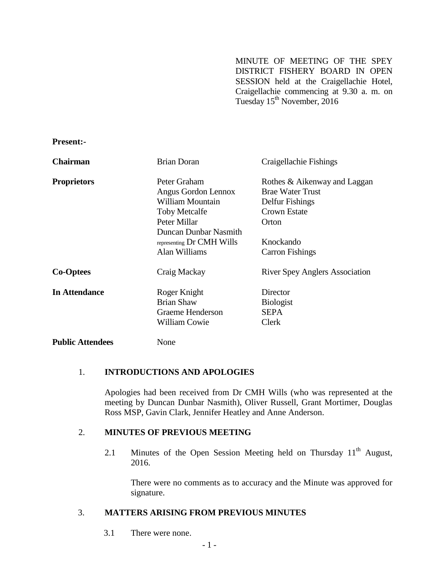MINUTE OF MEETING OF THE SPEY DISTRICT FISHERY BOARD IN OPEN SESSION held at the Craigellachie Hotel, Craigellachie commencing at 9.30 a. m. on Tuesday 15<sup>th</sup> November, 2016

**Present:-**

| <b>Chairman</b>         | <b>Brian Doran</b>        | Craigellachie Fishings                |
|-------------------------|---------------------------|---------------------------------------|
| <b>Proprietors</b>      | Peter Graham              | Rothes & Aikenway and Laggan          |
|                         | Angus Gordon Lennox       | <b>Brae Water Trust</b>               |
|                         | William Mountain          | Delfur Fishings                       |
|                         | <b>Toby Metcalfe</b>      | <b>Crown Estate</b>                   |
|                         | Peter Millar              | Orton                                 |
|                         | Duncan Dunbar Nasmith     |                                       |
|                         | representing Dr CMH Wills | Knockando                             |
|                         | Alan Williams             | <b>Carron Fishings</b>                |
| <b>Co-Optees</b>        | Craig Mackay              | <b>River Spey Anglers Association</b> |
| <b>In Attendance</b>    | Roger Knight              | Director                              |
|                         | <b>Brian Shaw</b>         | <b>Biologist</b>                      |
|                         | <b>Graeme Henderson</b>   | <b>SEPA</b>                           |
|                         | <b>William Cowie</b>      | Clerk                                 |
| <b>Public Attendees</b> | None                      |                                       |

# 1. **INTRODUCTIONS AND APOLOGIES**

Apologies had been received from Dr CMH Wills (who was represented at the meeting by Duncan Dunbar Nasmith), Oliver Russell, Grant Mortimer, Douglas Ross MSP, Gavin Clark, Jennifer Heatley and Anne Anderson.

### 2. **MINUTES OF PREVIOUS MEETING**

2.1 Minutes of the Open Session Meeting held on Thursday  $11<sup>th</sup>$  August, 2016.

There were no comments as to accuracy and the Minute was approved for signature.

### 3. **MATTERS ARISING FROM PREVIOUS MINUTES**

3.1 There were none.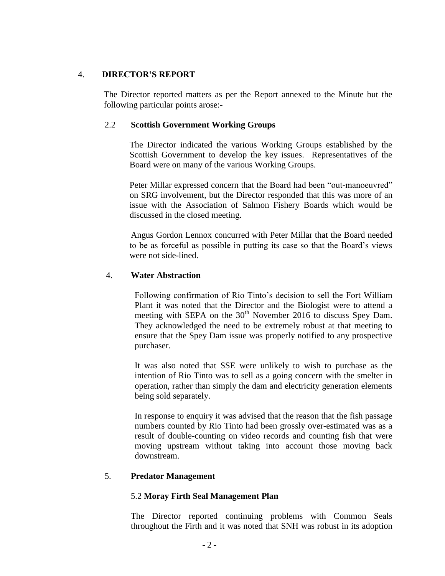# 4. **DIRECTOR'S REPORT**

The Director reported matters as per the Report annexed to the Minute but the following particular points arose:-

### 2.2 **Scottish Government Working Groups**

The Director indicated the various Working Groups established by the Scottish Government to develop the key issues. Representatives of the Board were on many of the various Working Groups.

Peter Millar expressed concern that the Board had been "out-manoeuvred" on SRG involvement, but the Director responded that this was more of an issue with the Association of Salmon Fishery Boards which would be discussed in the closed meeting.

Angus Gordon Lennox concurred with Peter Millar that the Board needed to be as forceful as possible in putting its case so that the Board's views were not side-lined.

### 4. **Water Abstraction**

Following confirmation of Rio Tinto's decision to sell the Fort William Plant it was noted that the Director and the Biologist were to attend a meeting with SEPA on the 30<sup>th</sup> November 2016 to discuss Spey Dam. They acknowledged the need to be extremely robust at that meeting to ensure that the Spey Dam issue was properly notified to any prospective purchaser.

It was also noted that SSE were unlikely to wish to purchase as the intention of Rio Tinto was to sell as a going concern with the smelter in operation, rather than simply the dam and electricity generation elements being sold separately.

In response to enquiry it was advised that the reason that the fish passage numbers counted by Rio Tinto had been grossly over-estimated was as a result of double-counting on video records and counting fish that were moving upstream without taking into account those moving back downstream.

# 5. **Predator Management**

# 5.2 **Moray Firth Seal Management Plan**

The Director reported continuing problems with Common Seals throughout the Firth and it was noted that SNH was robust in its adoption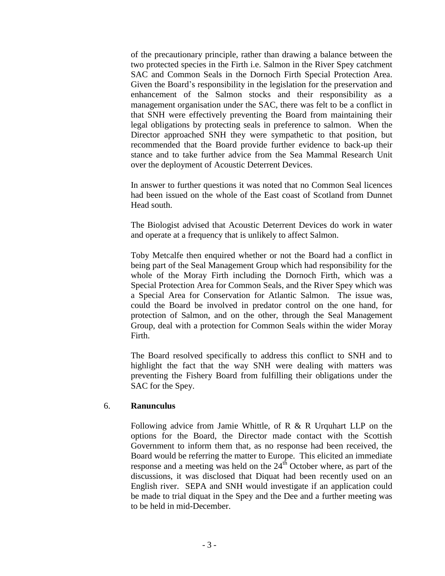of the precautionary principle, rather than drawing a balance between the two protected species in the Firth i.e. Salmon in the River Spey catchment SAC and Common Seals in the Dornoch Firth Special Protection Area. Given the Board's responsibility in the legislation for the preservation and enhancement of the Salmon stocks and their responsibility as a management organisation under the SAC, there was felt to be a conflict in that SNH were effectively preventing the Board from maintaining their legal obligations by protecting seals in preference to salmon. When the Director approached SNH they were sympathetic to that position, but recommended that the Board provide further evidence to back-up their stance and to take further advice from the Sea Mammal Research Unit over the deployment of Acoustic Deterrent Devices.

In answer to further questions it was noted that no Common Seal licences had been issued on the whole of the East coast of Scotland from Dunnet Head south.

The Biologist advised that Acoustic Deterrent Devices do work in water and operate at a frequency that is unlikely to affect Salmon.

Toby Metcalfe then enquired whether or not the Board had a conflict in being part of the Seal Management Group which had responsibility for the whole of the Moray Firth including the Dornoch Firth, which was a Special Protection Area for Common Seals, and the River Spey which was a Special Area for Conservation for Atlantic Salmon. The issue was, could the Board be involved in predator control on the one hand, for protection of Salmon, and on the other, through the Seal Management Group, deal with a protection for Common Seals within the wider Moray Firth.

The Board resolved specifically to address this conflict to SNH and to highlight the fact that the way SNH were dealing with matters was preventing the Fishery Board from fulfilling their obligations under the SAC for the Spey.

#### 6. **Ranunculus**

Following advice from Jamie Whittle, of R & R Urquhart LLP on the options for the Board, the Director made contact with the Scottish Government to inform them that, as no response had been received, the Board would be referring the matter to Europe. This elicited an immediate response and a meeting was held on the  $24<sup>th</sup>$  October where, as part of the discussions, it was disclosed that Diquat had been recently used on an English river. SEPA and SNH would investigate if an application could be made to trial diquat in the Spey and the Dee and a further meeting was to be held in mid-December.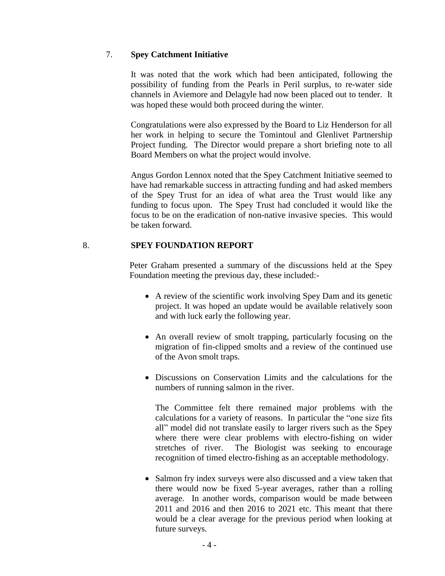### 7. **Spey Catchment Initiative**

It was noted that the work which had been anticipated, following the possibility of funding from the Pearls in Peril surplus, to re-water side channels in Aviemore and Delagyle had now been placed out to tender. It was hoped these would both proceed during the winter.

Congratulations were also expressed by the Board to Liz Henderson for all her work in helping to secure the Tomintoul and Glenlivet Partnership Project funding. The Director would prepare a short briefing note to all Board Members on what the project would involve.

Angus Gordon Lennox noted that the Spey Catchment Initiative seemed to have had remarkable success in attracting funding and had asked members of the Spey Trust for an idea of what area the Trust would like any funding to focus upon. The Spey Trust had concluded it would like the focus to be on the eradication of non-native invasive species. This would be taken forward.

### 8. **SPEY FOUNDATION REPORT**

Peter Graham presented a summary of the discussions held at the Spey Foundation meeting the previous day, these included:-

- A review of the scientific work involving Spey Dam and its genetic project. It was hoped an update would be available relatively soon and with luck early the following year.
- An overall review of smolt trapping, particularly focusing on the migration of fin-clipped smolts and a review of the continued use of the Avon smolt traps.
- Discussions on Conservation Limits and the calculations for the numbers of running salmon in the river.

The Committee felt there remained major problems with the calculations for a variety of reasons. In particular the "one size fits all" model did not translate easily to larger rivers such as the Spey where there were clear problems with electro-fishing on wider stretches of river. The Biologist was seeking to encourage recognition of timed electro-fishing as an acceptable methodology.

 Salmon fry index surveys were also discussed and a view taken that there would now be fixed 5-year averages, rather than a rolling average. In another words, comparison would be made between 2011 and 2016 and then 2016 to 2021 etc. This meant that there would be a clear average for the previous period when looking at future surveys.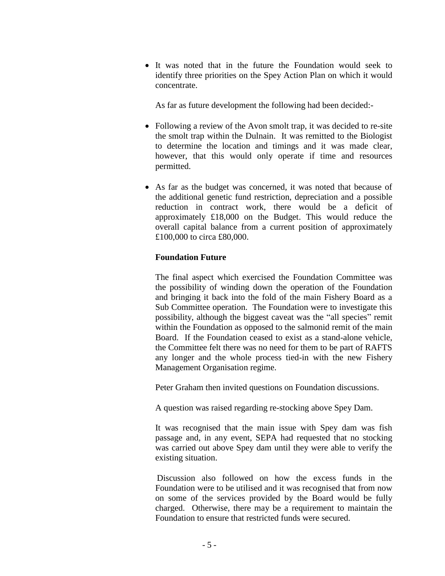It was noted that in the future the Foundation would seek to identify three priorities on the Spey Action Plan on which it would concentrate.

As far as future development the following had been decided:-

- Following a review of the Avon smolt trap, it was decided to re-site the smolt trap within the Dulnain. It was remitted to the Biologist to determine the location and timings and it was made clear, however, that this would only operate if time and resources permitted.
- As far as the budget was concerned, it was noted that because of the additional genetic fund restriction, depreciation and a possible reduction in contract work, there would be a deficit of approximately £18,000 on the Budget. This would reduce the overall capital balance from a current position of approximately £100,000 to circa £80,000.

### **Foundation Future**

The final aspect which exercised the Foundation Committee was the possibility of winding down the operation of the Foundation and bringing it back into the fold of the main Fishery Board as a Sub Committee operation. The Foundation were to investigate this possibility, although the biggest caveat was the "all species" remit within the Foundation as opposed to the salmonid remit of the main Board. If the Foundation ceased to exist as a stand-alone vehicle, the Committee felt there was no need for them to be part of RAFTS any longer and the whole process tied-in with the new Fishery Management Organisation regime.

Peter Graham then invited questions on Foundation discussions.

A question was raised regarding re-stocking above Spey Dam.

It was recognised that the main issue with Spey dam was fish passage and, in any event, SEPA had requested that no stocking was carried out above Spey dam until they were able to verify the existing situation.

Discussion also followed on how the excess funds in the Foundation were to be utilised and it was recognised that from now on some of the services provided by the Board would be fully charged. Otherwise, there may be a requirement to maintain the Foundation to ensure that restricted funds were secured.